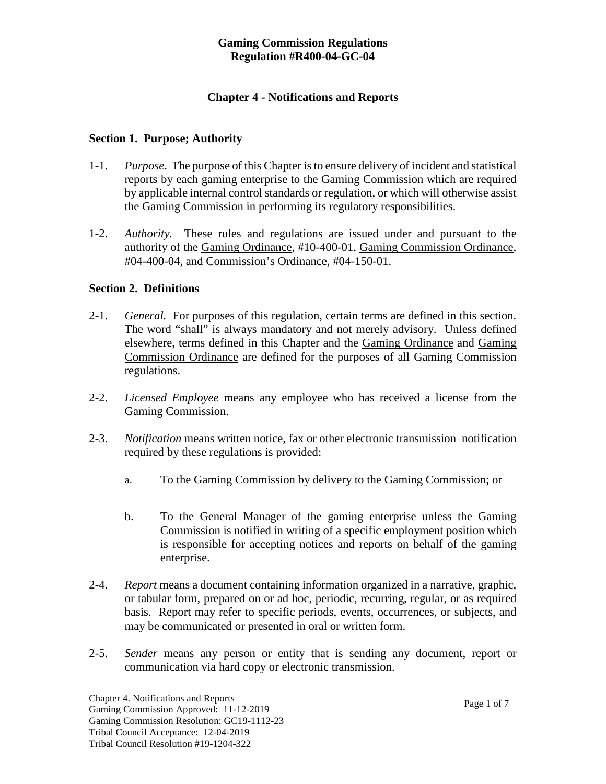#### **Gaming Commission Regulations Regulation #R400-04-GC-04**

### **Chapter 4 - Notifications and Reports**

#### **Section 1. Purpose; Authority**

- 1-1. *Purpose*. The purpose of this Chapter is to ensure delivery of incident and statistical reports by each gaming enterprise to the Gaming Commission which are required by applicable internal control standards or regulation, or which will otherwise assist the Gaming Commission in performing its regulatory responsibilities.
- 1-2. *Authority.* These rules and regulations are issued under and pursuant to the authority of the Gaming Ordinance, #10-400-01, Gaming Commission Ordinance, #04-400-04, and Commission's Ordinance, #04-150-01.

### **Section 2. Definitions**

- 2-1. *General.* For purposes of this regulation, certain terms are defined in this section. The word "shall" is always mandatory and not merely advisory. Unless defined elsewhere, terms defined in this Chapter and the Gaming Ordinance and Gaming Commission Ordinance are defined for the purposes of all Gaming Commission regulations.
- 2-2. *Licensed Employee* means any employee who has received a license from the Gaming Commission.
- 2-3. *Notification* means written notice, fax or other electronic transmission notification required by these regulations is provided:
	- a. To the Gaming Commission by delivery to the Gaming Commission; or
	- b. To the General Manager of the gaming enterprise unless the Gaming Commission is notified in writing of a specific employment position which is responsible for accepting notices and reports on behalf of the gaming enterprise.
- 2-4. *Report* means a document containing information organized in a narrative, graphic, or tabular form, prepared on or ad hoc, periodic, recurring, regular, or as required basis. Report may refer to specific periods, events, occurrences, or subjects, and may be communicated or presented in oral or written form.
- 2-5. *Sender* means any person or entity that is sending any document, report or communication via hard copy or electronic transmission.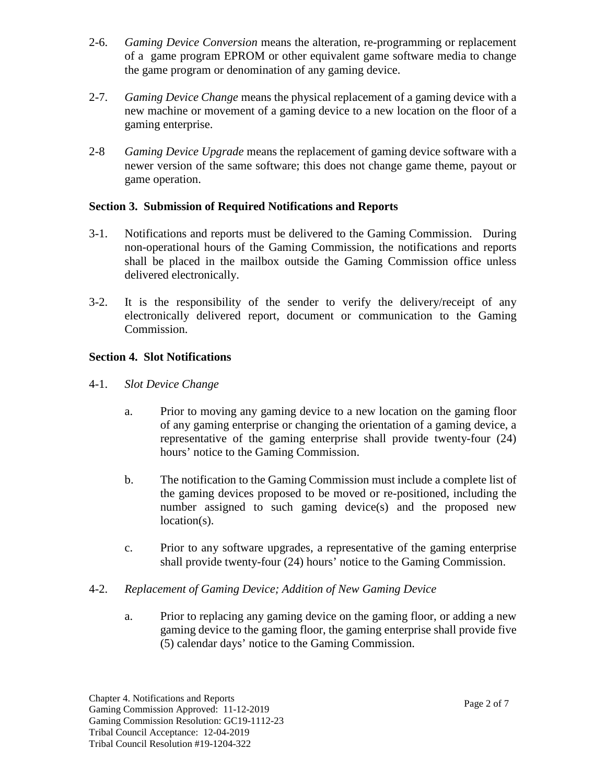- 2-6. *Gaming Device Conversion* means the alteration, re-programming or replacement of a game program EPROM or other equivalent game software media to change the game program or denomination of any gaming device.
- 2-7. *Gaming Device Change* means the physical replacement of a gaming device with a new machine or movement of a gaming device to a new location on the floor of a gaming enterprise.
- 2-8 *Gaming Device Upgrade* means the replacement of gaming device software with a newer version of the same software; this does not change game theme, payout or game operation.

## **Section 3. Submission of Required Notifications and Reports**

- 3-1.Notifications and reports must be delivered to the Gaming Commission. During non-operational hours of the Gaming Commission, the notifications and reports shall be placed in the mailbox outside the Gaming Commission office unless delivered electronically.
- 3-2. It is the responsibility of the sender to verify the delivery/receipt of any electronically delivered report, document or communication to the Gaming Commission.

# **Section 4. Slot Notifications**

- 4-1.*Slot Device Change*
	- a. Prior to moving any gaming device to a new location on the gaming floor of any gaming enterprise or changing the orientation of a gaming device, a representative of the gaming enterprise shall provide twenty-four (24) hours' notice to the Gaming Commission.
	- b. The notification to the Gaming Commission must include a complete list of the gaming devices proposed to be moved or re-positioned, including the number assigned to such gaming device(s) and the proposed new location(s).
	- c. Prior to any software upgrades, a representative of the gaming enterprise shall provide twenty-four (24) hours' notice to the Gaming Commission.

### 4-2.*Replacement of Gaming Device; Addition of New Gaming Device*

a. Prior to replacing any gaming device on the gaming floor, or adding a new gaming device to the gaming floor, the gaming enterprise shall provide five (5) calendar days' notice to the Gaming Commission.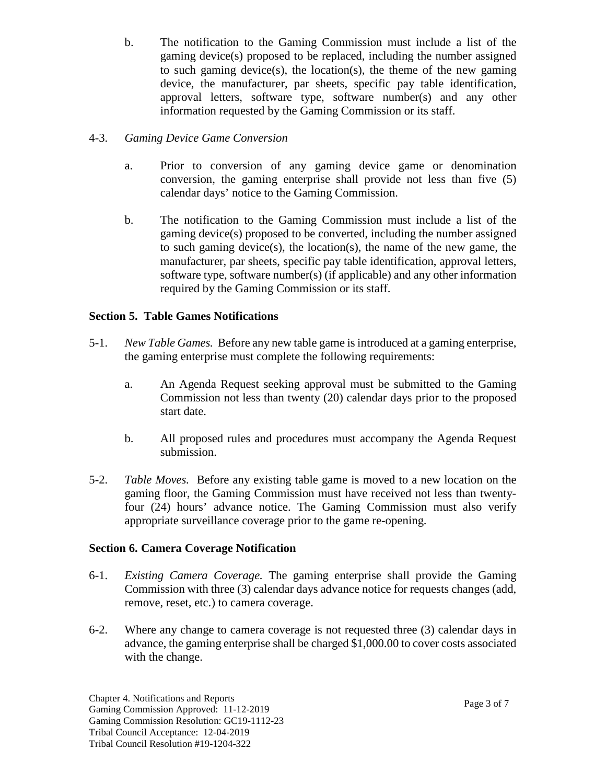b. The notification to the Gaming Commission must include a list of the gaming device(s) proposed to be replaced, including the number assigned to such gaming device(s), the location(s), the theme of the new gaming device, the manufacturer, par sheets, specific pay table identification, approval letters, software type, software number(s) and any other information requested by the Gaming Commission or its staff.

## 4-3.*Gaming Device Game Conversion*

- a. Prior to conversion of any gaming device game or denomination conversion, the gaming enterprise shall provide not less than five (5) calendar days' notice to the Gaming Commission.
- b. The notification to the Gaming Commission must include a list of the gaming device(s) proposed to be converted, including the number assigned to such gaming device(s), the location(s), the name of the new game, the manufacturer, par sheets, specific pay table identification, approval letters, software type, software number(s) (if applicable) and any other information required by the Gaming Commission or its staff.

## **Section 5. Table Games Notifications**

- 5-1.*New Table Games.* Before any new table game is introduced at a gaming enterprise, the gaming enterprise must complete the following requirements:
	- a. An Agenda Request seeking approval must be submitted to the Gaming Commission not less than twenty (20) calendar days prior to the proposed start date.
	- b. All proposed rules and procedures must accompany the Agenda Request submission.
- 5-2.*Table Moves.* Before any existing table game is moved to a new location on the gaming floor, the Gaming Commission must have received not less than twentyfour (24) hours' advance notice. The Gaming Commission must also verify appropriate surveillance coverage prior to the game re-opening.

### **Section 6. Camera Coverage Notification**

- 6-1. *Existing Camera Coverage.* The gaming enterprise shall provide the Gaming Commission with three (3) calendar days advance notice for requests changes (add, remove, reset, etc.) to camera coverage.
- 6-2. Where any change to camera coverage is not requested three (3) calendar days in advance, the gaming enterprise shall be charged \$1,000.00 to cover costs associated with the change.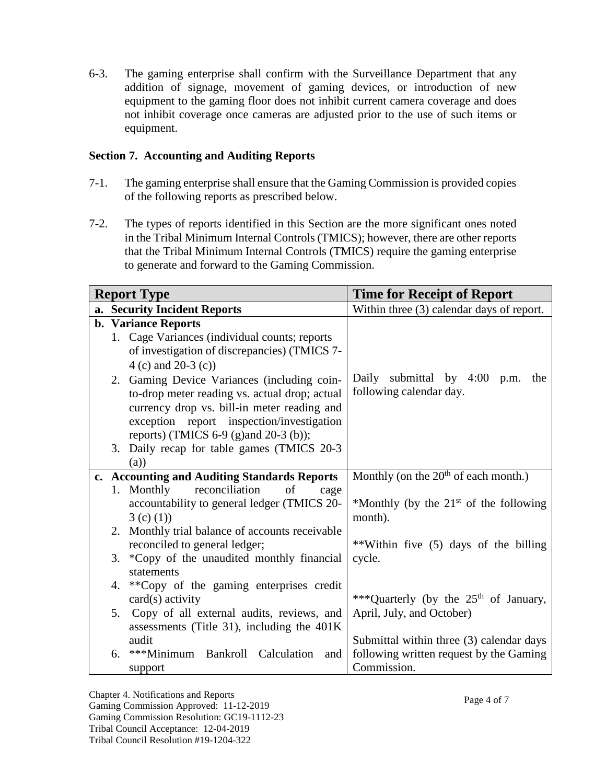6-3. The gaming enterprise shall confirm with the Surveillance Department that any addition of signage, movement of gaming devices, or introduction of new equipment to the gaming floor does not inhibit current camera coverage and does not inhibit coverage once cameras are adjusted prior to the use of such items or equipment.

### **Section 7. Accounting and Auditing Reports**

- 7-1. The gaming enterprise shall ensure that the Gaming Commission is provided copies of the following reports as prescribed below.
- 7-2. The types of reports identified in this Section are the more significant ones noted in the Tribal Minimum Internal Controls (TMICS); however, there are other reports that the Tribal Minimum Internal Controls (TMICS) require the gaming enterprise to generate and forward to the Gaming Commission.

| <b>Report Type</b> |    |                                                                                                                                                                                                                                   | <b>Time for Receipt of Report</b>                              |
|--------------------|----|-----------------------------------------------------------------------------------------------------------------------------------------------------------------------------------------------------------------------------------|----------------------------------------------------------------|
|                    |    | a. Security Incident Reports                                                                                                                                                                                                      | Within three (3) calendar days of report.                      |
|                    |    | <b>b.</b> Variance Reports<br>1. Cage Variances (individual counts; reports<br>of investigation of discrepancies) (TMICS 7-<br>$4(c)$ and $20-3(c)$                                                                               |                                                                |
|                    |    | 2. Gaming Device Variances (including coin-<br>to-drop meter reading vs. actual drop; actual<br>currency drop vs. bill-in meter reading and<br>exception report inspection/investigation<br>reports) (TMICS 6-9 (g)and 20-3 (b)); | Daily submittal by 4:00 p.m.<br>the<br>following calendar day. |
|                    |    | 3. Daily recap for table games (TMICS 20-3)<br>(a)                                                                                                                                                                                |                                                                |
|                    |    | c. Accounting and Auditing Standards Reports                                                                                                                                                                                      | Monthly (on the $20th$ of each month.)                         |
|                    |    | reconciliation<br>1. Monthly<br>of<br>cage<br>accountability to general ledger (TMICS 20-<br>3(c) (1)                                                                                                                             | *Monthly (by the $21st$ of the following<br>month).            |
|                    | 2. | Monthly trial balance of accounts receivable<br>reconciled to general ledger;                                                                                                                                                     | **Within five (5) days of the billing                          |
|                    |    | 3. *Copy of the unaudited monthly financial<br>statements                                                                                                                                                                         | cycle.                                                         |
|                    | 4. | **Copy of the gaming enterprises credit<br>$card(s)$ activity                                                                                                                                                                     | *** Quarterly (by the $25th$ of January,                       |
|                    |    | 5. Copy of all external audits, reviews, and<br>assessments (Title 31), including the 401K                                                                                                                                        | April, July, and October)                                      |
|                    |    | audit                                                                                                                                                                                                                             | Submittal within three (3) calendar days                       |
|                    | 6. | ***Minimum Bankroll Calculation<br>and<br>support                                                                                                                                                                                 | following written request by the Gaming<br>Commission.         |

Chapter 4. Notifications and Reports Gaming Commission Approved: 11-12-2019 Gaming Commission Resolution: GC19-1112-23 Tribal Council Acceptance: 12-04-2019 Tribal Council Resolution #19-1204-322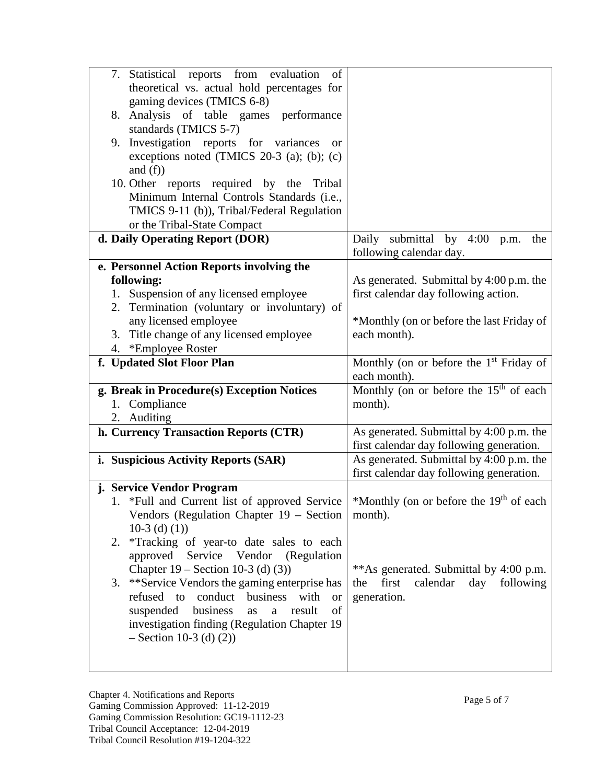| 7. Statistical reports from evaluation<br>of                                                       |                                                        |
|----------------------------------------------------------------------------------------------------|--------------------------------------------------------|
| theoretical vs. actual hold percentages for                                                        |                                                        |
| gaming devices (TMICS 6-8)                                                                         |                                                        |
| 8. Analysis of table games performance                                                             |                                                        |
| standards (TMICS 5-7)                                                                              |                                                        |
| Investigation reports for variances<br>9.<br><b>or</b>                                             |                                                        |
| exceptions noted (TMICS 20-3 (a); (b); (c)                                                         |                                                        |
| and $(f)$                                                                                          |                                                        |
| 10. Other reports required by the Tribal                                                           |                                                        |
| Minimum Internal Controls Standards (i.e.,                                                         |                                                        |
| TMICS 9-11 (b)), Tribal/Federal Regulation                                                         |                                                        |
| or the Tribal-State Compact                                                                        |                                                        |
| d. Daily Operating Report (DOR)                                                                    | Daily submittal by 4:00 p.m.<br>the                    |
|                                                                                                    | following calendar day.                                |
| e. Personnel Action Reports involving the                                                          |                                                        |
| following:                                                                                         | As generated. Submittal by 4:00 p.m. the               |
| Suspension of any licensed employee<br>1.                                                          | first calendar day following action.                   |
| 2. Termination (voluntary or involuntary) of                                                       |                                                        |
| any licensed employee                                                                              | *Monthly (on or before the last Friday of              |
| Title change of any licensed employee<br>3.                                                        | each month).                                           |
| 4. *Employee Roster                                                                                |                                                        |
| f. Updated Slot Floor Plan                                                                         | Monthly (on or before the $1st$ Friday of              |
|                                                                                                    | each month).                                           |
| g. Break in Procedure(s) Exception Notices                                                         | Monthly (on or before the $15th$ of each               |
| 1. Compliance                                                                                      | month).                                                |
|                                                                                                    |                                                        |
|                                                                                                    |                                                        |
| 2. Auditing                                                                                        |                                                        |
| h. Currency Transaction Reports (CTR)                                                              | As generated. Submittal by 4:00 p.m. the               |
|                                                                                                    | first calendar day following generation.               |
| i. Suspicious Activity Reports (SAR)                                                               | As generated. Submittal by 4:00 p.m. the               |
|                                                                                                    | first calendar day following generation.               |
| j. Service Vendor Program                                                                          |                                                        |
| 1. *Full and Current list of approved Service                                                      | *Monthly (on or before the 19 <sup>th</sup> of each    |
| Vendors (Regulation Chapter 19 - Section<br>10-3 (d) $(1)$ )                                       | month).                                                |
| 2.                                                                                                 |                                                        |
| *Tracking of year-to date sales to each                                                            |                                                        |
| approved<br>Service Vendor (Regulation                                                             |                                                        |
| Chapter $19 - \text{Section } 10-3$ (d) (3))                                                       | **As generated. Submittal by 4:00 p.m.<br>first<br>the |
| **Service Vendors the gaming enterprise has<br>3.<br>conduct<br>refused<br>to<br>with<br><b>or</b> | calendar<br>day<br>following                           |
| business<br>of                                                                                     | generation.                                            |
| business<br>suspended<br>result<br>as<br>$\rm{a}$                                                  |                                                        |
| investigation finding (Regulation Chapter 19                                                       |                                                        |
| $-$ Section 10-3 (d) (2))                                                                          |                                                        |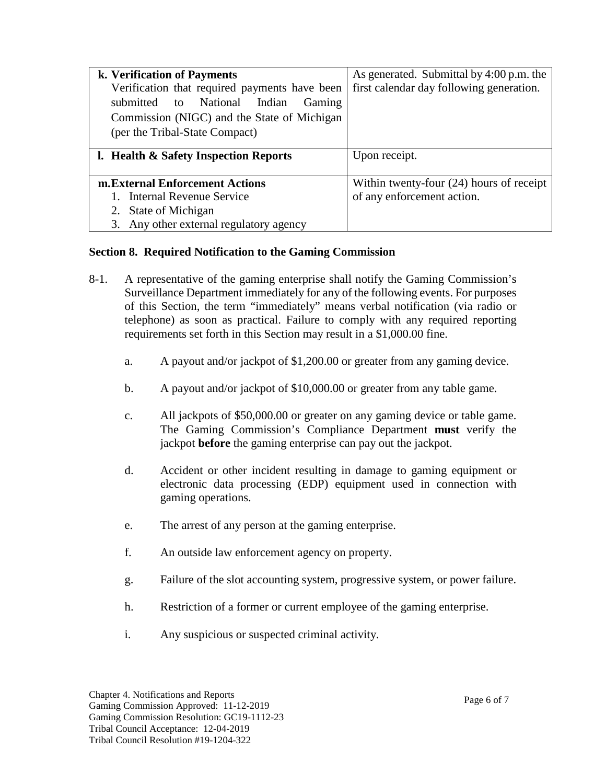| k. Verification of Payments                   | As generated. Submittal by 4:00 p.m. the   |
|-----------------------------------------------|--------------------------------------------|
| Verification that required payments have been | first calendar day following generation.   |
| National<br>submitted to<br>Indian<br>Gaming  |                                            |
| Commission (NIGC) and the State of Michigan   |                                            |
| (per the Tribal-State Compact)                |                                            |
|                                               |                                            |
| l. Health & Safety Inspection Reports         | Upon receipt.                              |
|                                               |                                            |
| m. External Enforcement Actions               | Within twenty-four $(24)$ hours of receipt |
| <b>Internal Revenue Service</b>               | of any enforcement action.                 |
| State of Michigan<br>2.                       |                                            |
| Any other external regulatory agency<br>3.    |                                            |

### **Section 8. Required Notification to the Gaming Commission**

- 8-1. A representative of the gaming enterprise shall notify the Gaming Commission's Surveillance Department immediately for any of the following events. For purposes of this Section, the term "immediately" means verbal notification (via radio or telephone) as soon as practical. Failure to comply with any required reporting requirements set forth in this Section may result in a \$1,000.00 fine.
	- a. A payout and/or jackpot of \$1,200.00 or greater from any gaming device.
	- b. A payout and/or jackpot of \$10,000.00 or greater from any table game.
	- c. All jackpots of \$50,000.00 or greater on any gaming device or table game. The Gaming Commission's Compliance Department **must** verify the jackpot **before** the gaming enterprise can pay out the jackpot.
	- d. Accident or other incident resulting in damage to gaming equipment or electronic data processing (EDP) equipment used in connection with gaming operations.
	- e. The arrest of any person at the gaming enterprise.
	- f. An outside law enforcement agency on property.
	- g. Failure of the slot accounting system, progressive system, or power failure.
	- h. Restriction of a former or current employee of the gaming enterprise.
	- i. Any suspicious or suspected criminal activity.